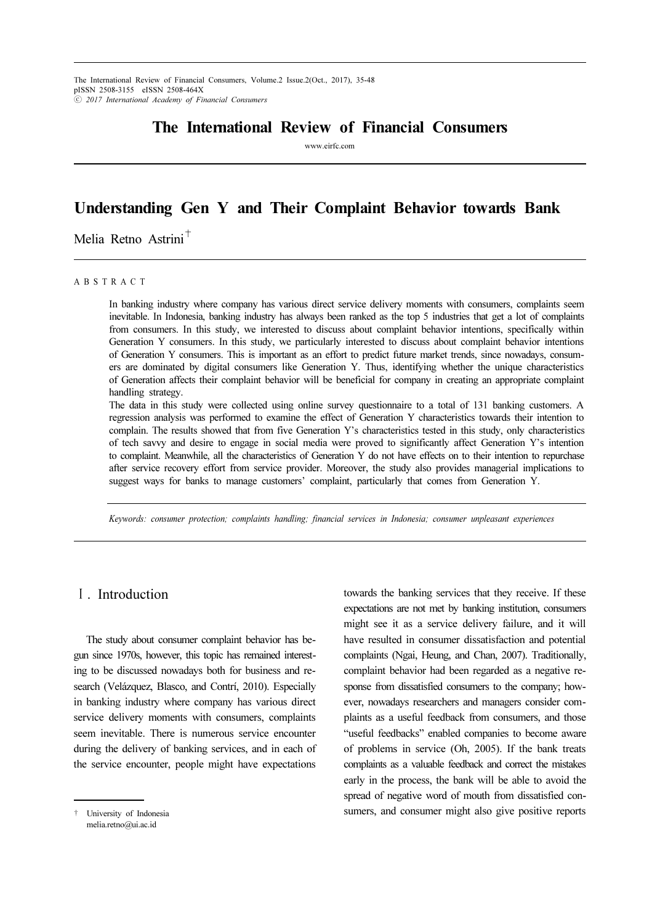The International Review of Financial Consumers, Volume.2 Issue.2(Oct., 2017), 35-48 pISSN 2508-3155 eISSN 2508-464X ⓒ 2017 International Academy of Financial Consumers

# The International Review of Financial Consumers

www.eirfc.com

# Understanding Gen Y and Their Complaint Behavior towards Bank

Melia Retno Astrini<sup>+</sup>

#### A B S T R A C T

In banking industry where company has various direct service delivery moments with consumers, complaints seem inevitable. In Indonesia, banking industry has always been ranked as the top 5 industries that get a lot of complaints from consumers. In this study, we interested to discuss about complaint behavior intentions, specifically within Generation Y consumers. In this study, we particularly interested to discuss about complaint behavior intentions of Generation Y consumers. This is important as an effort to predict future market trends, since nowadays, consumers are dominated by digital consumers like Generation Y. Thus, identifying whether the unique characteristics of Generation affects their complaint behavior will be beneficial for company in creating an appropriate complaint handling strategy.

The data in this study were collected using online survey questionnaire to a total of 131 banking customers. A regression analysis was performed to examine the effect of Generation Y characteristics towards their intention to complain. The results showed that from five Generation Y's characteristics tested in this study, only characteristics of tech savvy and desire to engage in social media were proved to significantly affect Generation Y's intention to complaint. Meanwhile, all the characteristics of Generation Y do not have effects on to their intention to repurchase after service recovery effort from service provider. Moreover, the study also provides managerial implications to suggest ways for banks to manage customers' complaint, particularly that comes from Generation Y.

Keywords: consumer protection; complaints handling; financial services in Indonesia; consumer unpleasant experiences

# Ⅰ. Introduction

The study about consumer complaint behavior has begun since 1970s, however, this topic has remained interesting to be discussed nowadays both for business and research (Velázquez, Blasco, and Contrí, 2010). Especially in banking industry where company has various direct service delivery moments with consumers, complaints seem inevitable. There is numerous service encounter during the delivery of banking services, and in each of the service encounter, people might have expectations

† University of Indonesia melia.retno@ui.ac.id

towards the banking services that they receive. If these expectations are not met by banking institution, consumers might see it as a service delivery failure, and it will have resulted in consumer dissatisfaction and potential complaints (Ngai, Heung, and Chan, 2007). Traditionally, complaint behavior had been regarded as a negative response from dissatisfied consumers to the company; however, nowadays researchers and managers consider complaints as a useful feedback from consumers, and those "useful feedbacks" enabled companies to become aware of problems in service (Oh, 2005). If the bank treats complaints as a valuable feedback and correct the mistakes early in the process, the bank will be able to avoid the spread of negative word of mouth from dissatisfied consumers, and consumer might also give positive reports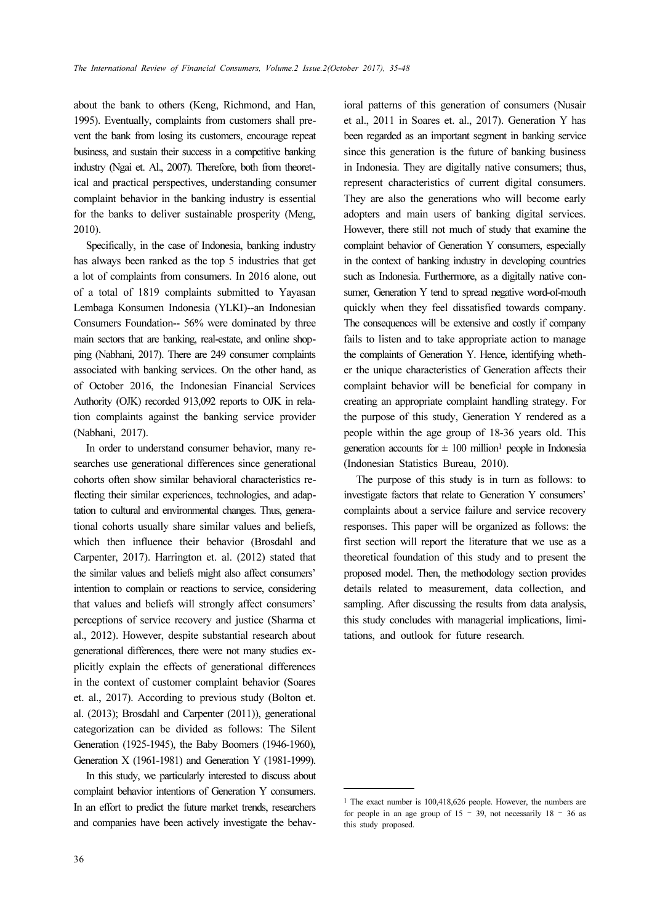about the bank to others (Keng, Richmond, and Han, 1995). Eventually, complaints from customers shall prevent the bank from losing its customers, encourage repeat business, and sustain their success in a competitive banking industry (Ngai et. Al., 2007). Therefore, both from theoretical and practical perspectives, understanding consumer complaint behavior in the banking industry is essential for the banks to deliver sustainable prosperity (Meng, 2010).

Specifically, in the case of Indonesia, banking industry has always been ranked as the top 5 industries that get a lot of complaints from consumers. In 2016 alone, out of a total of 1819 complaints submitted to Yayasan Lembaga Konsumen Indonesia (YLKI)--an Indonesian Consumers Foundation-- 56% were dominated by three main sectors that are banking, real-estate, and online shopping (Nabhani, 2017). There are 249 consumer complaints associated with banking services. On the other hand, as of October 2016, the Indonesian Financial Services Authority (OJK) recorded 913,092 reports to OJK in relation complaints against the banking service provider (Nabhani, 2017).

In order to understand consumer behavior, many researches use generational differences since generational cohorts often show similar behavioral characteristics reflecting their similar experiences, technologies, and adaptation to cultural and environmental changes. Thus, generational cohorts usually share similar values and beliefs, which then influence their behavior (Brosdahl and Carpenter, 2017). Harrington et. al. (2012) stated that the similar values and beliefs might also affect consumers' intention to complain or reactions to service, considering that values and beliefs will strongly affect consumers' perceptions of service recovery and justice (Sharma et al., 2012). However, despite substantial research about generational differences, there were not many studies explicitly explain the effects of generational differences in the context of customer complaint behavior (Soares et. al., 2017). According to previous study (Bolton et. al. (2013); Brosdahl and Carpenter (2011)), generational categorization can be divided as follows: The Silent Generation (1925-1945), the Baby Boomers (1946-1960), Generation X (1961-1981) and Generation Y (1981-1999).

In this study, we particularly interested to discuss about complaint behavior intentions of Generation Y consumers. In an effort to predict the future market trends, researchers and companies have been actively investigate the behav-

36

ioral patterns of this generation of consumers (Nusair et al., 2011 in Soares et. al., 2017). Generation Y has been regarded as an important segment in banking service since this generation is the future of banking business in Indonesia. They are digitally native consumers; thus, represent characteristics of current digital consumers. They are also the generations who will become early adopters and main users of banking digital services. However, there still not much of study that examine the complaint behavior of Generation Y consumers, especially in the context of banking industry in developing countries such as Indonesia. Furthermore, as a digitally native consumer, Generation Y tend to spread negative word-of-mouth quickly when they feel dissatisfied towards company. The consequences will be extensive and costly if company fails to listen and to take appropriate action to manage the complaints of Generation Y. Hence, identifying whether the unique characteristics of Generation affects their complaint behavior will be beneficial for company in creating an appropriate complaint handling strategy. For the purpose of this study, Generation Y rendered as a people within the age group of 18-36 years old. This generation accounts for  $\pm 100$  million<sup>1</sup> people in Indonesia (Indonesian Statistics Bureau, 2010).

The purpose of this study is in turn as follows: to investigate factors that relate to Generation Y consumers' complaints about a service failure and service recovery responses. This paper will be organized as follows: the first section will report the literature that we use as a theoretical foundation of this study and to present the proposed model. Then, the methodology section provides details related to measurement, data collection, and sampling. After discussing the results from data analysis, this study concludes with managerial implications, limitations, and outlook for future research.

<sup>1</sup> The exact number is 100,418,626 people. However, the numbers are for people in an age group of  $15 - 39$ , not necessarily  $18 - 36$  as this study proposed.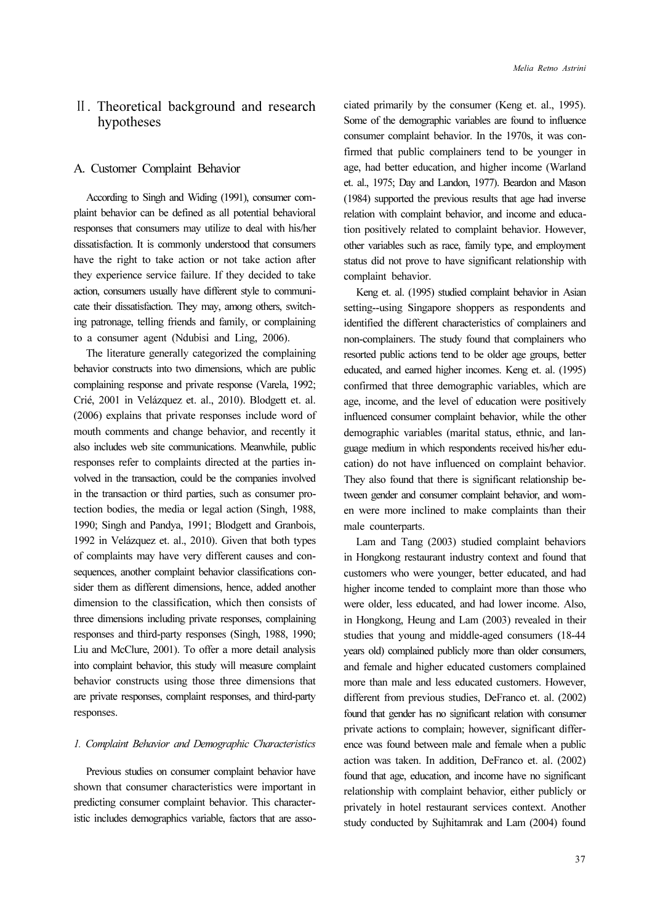# Ⅱ. Theoretical background and research hypotheses

#### A. Customer Complaint Behavior

According to Singh and Widing (1991), consumer complaint behavior can be defined as all potential behavioral responses that consumers may utilize to deal with his/her dissatisfaction. It is commonly understood that consumers have the right to take action or not take action after they experience service failure. If they decided to take action, consumers usually have different style to communicate their dissatisfaction. They may, among others, switching patronage, telling friends and family, or complaining to a consumer agent (Ndubisi and Ling, 2006).

The literature generally categorized the complaining behavior constructs into two dimensions, which are public complaining response and private response (Varela, 1992; Crié, 2001 in Velázquez et. al., 2010). Blodgett et. al. (2006) explains that private responses include word of mouth comments and change behavior, and recently it also includes web site communications. Meanwhile, public responses refer to complaints directed at the parties involved in the transaction, could be the companies involved in the transaction or third parties, such as consumer protection bodies, the media or legal action (Singh, 1988, 1990; Singh and Pandya, 1991; Blodgett and Granbois, 1992 in Velázquez et. al., 2010). Given that both types of complaints may have very different causes and consequences, another complaint behavior classifications consider them as different dimensions, hence, added another dimension to the classification, which then consists of three dimensions including private responses, complaining responses and third-party responses (Singh, 1988, 1990; Liu and McClure, 2001). To offer a more detail analysis into complaint behavior, this study will measure complaint behavior constructs using those three dimensions that are private responses, complaint responses, and third-party responses.

#### 1. Complaint Behavior and Demographic Characteristics

Previous studies on consumer complaint behavior have shown that consumer characteristics were important in predicting consumer complaint behavior. This characteristic includes demographics variable, factors that are associated primarily by the consumer (Keng et. al., 1995). Some of the demographic variables are found to influence consumer complaint behavior. In the 1970s, it was confirmed that public complainers tend to be younger in age, had better education, and higher income (Warland et. al., 1975; Day and Landon, 1977). Beardon and Mason (1984) supported the previous results that age had inverse relation with complaint behavior, and income and education positively related to complaint behavior. However, other variables such as race, family type, and employment status did not prove to have significant relationship with complaint behavior.

Keng et. al. (1995) studied complaint behavior in Asian setting--using Singapore shoppers as respondents and identified the different characteristics of complainers and non-complainers. The study found that complainers who resorted public actions tend to be older age groups, better educated, and earned higher incomes. Keng et. al. (1995) confirmed that three demographic variables, which are age, income, and the level of education were positively influenced consumer complaint behavior, while the other demographic variables (marital status, ethnic, and language medium in which respondents received his/her education) do not have influenced on complaint behavior. They also found that there is significant relationship between gender and consumer complaint behavior, and women were more inclined to make complaints than their male counterparts.

Lam and Tang (2003) studied complaint behaviors in Hongkong restaurant industry context and found that customers who were younger, better educated, and had higher income tended to complaint more than those who were older, less educated, and had lower income. Also, in Hongkong, Heung and Lam (2003) revealed in their studies that young and middle-aged consumers (18-44 years old) complained publicly more than older consumers, and female and higher educated customers complained more than male and less educated customers. However, different from previous studies, DeFranco et. al. (2002) found that gender has no significant relation with consumer private actions to complain; however, significant difference was found between male and female when a public action was taken. In addition, DeFranco et. al. (2002) found that age, education, and income have no significant relationship with complaint behavior, either publicly or privately in hotel restaurant services context. Another study conducted by Sujhitamrak and Lam (2004) found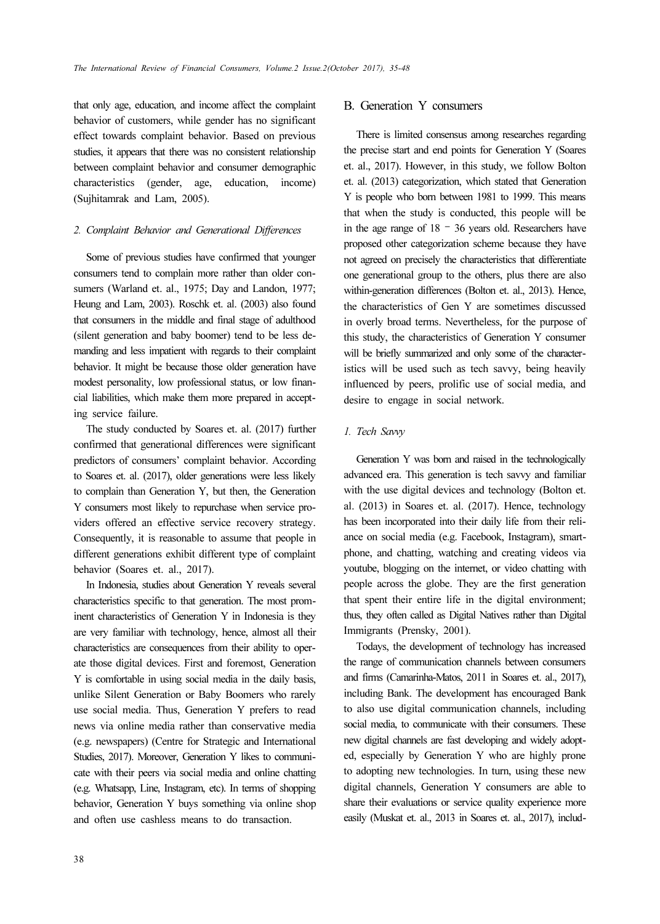that only age, education, and income affect the complaint behavior of customers, while gender has no significant effect towards complaint behavior. Based on previous studies, it appears that there was no consistent relationship between complaint behavior and consumer demographic characteristics (gender, age, education, income) (Sujhitamrak and Lam, 2005).

#### 2. Complaint Behavior and Generational Differences

Some of previous studies have confirmed that younger consumers tend to complain more rather than older consumers (Warland et. al., 1975; Day and Landon, 1977; Heung and Lam, 2003). Roschk et. al. (2003) also found that consumers in the middle and final stage of adulthood (silent generation and baby boomer) tend to be less demanding and less impatient with regards to their complaint behavior. It might be because those older generation have modest personality, low professional status, or low financial liabilities, which make them more prepared in accepting service failure.

The study conducted by Soares et. al. (2017) further confirmed that generational differences were significant predictors of consumers' complaint behavior. According to Soares et. al. (2017), older generations were less likely to complain than Generation Y, but then, the Generation Y consumers most likely to repurchase when service providers offered an effective service recovery strategy. Consequently, it is reasonable to assume that people in different generations exhibit different type of complaint behavior (Soares et. al., 2017).

In Indonesia, studies about Generation Y reveals several characteristics specific to that generation. The most prominent characteristics of Generation Y in Indonesia is they are very familiar with technology, hence, almost all their characteristics are consequences from their ability to operate those digital devices. First and foremost, Generation Y is comfortable in using social media in the daily basis, unlike Silent Generation or Baby Boomers who rarely use social media. Thus, Generation Y prefers to read news via online media rather than conservative media (e.g. newspapers) (Centre for Strategic and International Studies, 2017). Moreover, Generation Y likes to communicate with their peers via social media and online chatting (e.g. Whatsapp, Line, Instagram, etc). In terms of shopping behavior, Generation Y buys something via online shop and often use cashless means to do transaction.

# B. Generation Y consumers

There is limited consensus among researches regarding the precise start and end points for Generation Y (Soares et. al., 2017). However, in this study, we follow Bolton et. al. (2013) categorization, which stated that Generation Y is people who born between 1981 to 1999. This means that when the study is conducted, this people will be in the age range of 18 – 36 years old. Researchers have proposed other categorization scheme because they have not agreed on precisely the characteristics that differentiate one generational group to the others, plus there are also within-generation differences (Bolton et. al., 2013). Hence, the characteristics of Gen Y are sometimes discussed in overly broad terms. Nevertheless, for the purpose of this study, the characteristics of Generation Y consumer will be briefly summarized and only some of the characteristics will be used such as tech savvy, being heavily influenced by peers, prolific use of social media, and desire to engage in social network.

#### 1. Tech Savvy

Generation Y was born and raised in the technologically advanced era. This generation is tech savvy and familiar with the use digital devices and technology (Bolton et. al. (2013) in Soares et. al. (2017). Hence, technology has been incorporated into their daily life from their reliance on social media (e.g. Facebook, Instagram), smartphone, and chatting, watching and creating videos via youtube, blogging on the internet, or video chatting with people across the globe. They are the first generation that spent their entire life in the digital environment; thus, they often called as Digital Natives rather than Digital Immigrants (Prensky, 2001).

Todays, the development of technology has increased the range of communication channels between consumers and firms (Camarinha-Matos, 2011 in Soares et. al., 2017), including Bank. The development has encouraged Bank to also use digital communication channels, including social media, to communicate with their consumers. These new digital channels are fast developing and widely adopted, especially by Generation Y who are highly prone to adopting new technologies. In turn, using these new digital channels, Generation Y consumers are able to share their evaluations or service quality experience more easily (Muskat et. al., 2013 in Soares et. al., 2017), includ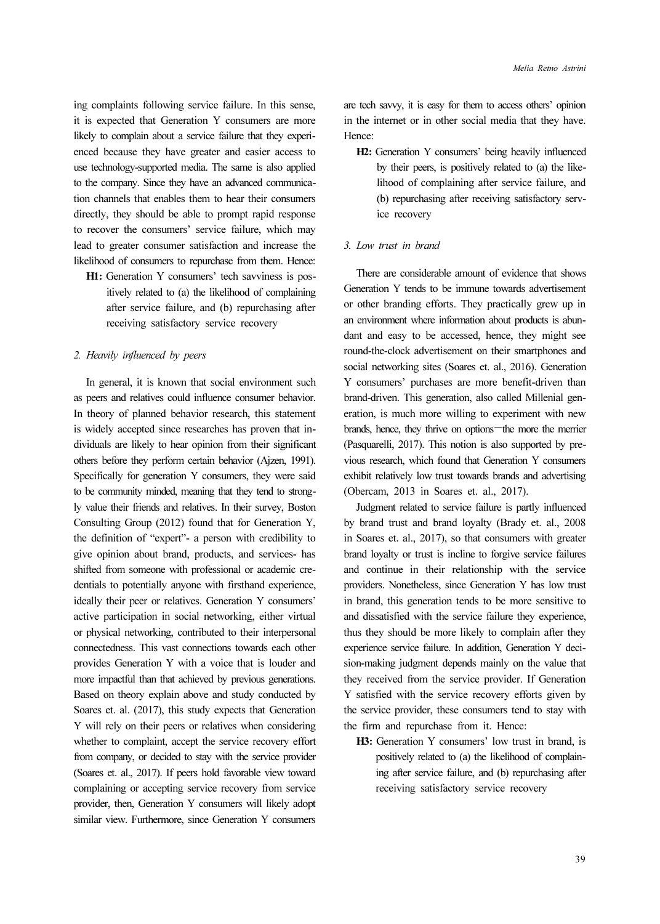ing complaints following service failure. In this sense, it is expected that Generation Y consumers are more likely to complain about a service failure that they experienced because they have greater and easier access to use technology-supported media. The same is also applied to the company. Since they have an advanced communication channels that enables them to hear their consumers directly, they should be able to prompt rapid response to recover the consumers' service failure, which may lead to greater consumer satisfaction and increase the likelihood of consumers to repurchase from them. Hence:

H1: Generation Y consumers' tech savviness is positively related to (a) the likelihood of complaining after service failure, and (b) repurchasing after receiving satisfactory service recovery

#### 2. Heavily influenced by peers

In general, it is known that social environment such as peers and relatives could influence consumer behavior. In theory of planned behavior research, this statement is widely accepted since researches has proven that individuals are likely to hear opinion from their significant others before they perform certain behavior (Ajzen, 1991). Specifically for generation Y consumers, they were said to be community minded, meaning that they tend to strongly value their friends and relatives. In their survey, Boston Consulting Group (2012) found that for Generation Y, the definition of "expert"- a person with credibility to give opinion about brand, products, and services- has shifted from someone with professional or academic credentials to potentially anyone with firsthand experience, ideally their peer or relatives. Generation Y consumers' active participation in social networking, either virtual or physical networking, contributed to their interpersonal connectedness. This vast connections towards each other provides Generation Y with a voice that is louder and more impactful than that achieved by previous generations. Based on theory explain above and study conducted by Soares et. al. (2017), this study expects that Generation Y will rely on their peers or relatives when considering whether to complaint, accept the service recovery effort from company, or decided to stay with the service provider (Soares et. al., 2017). If peers hold favorable view toward complaining or accepting service recovery from service provider, then, Generation Y consumers will likely adopt similar view. Furthermore, since Generation Y consumers

are tech savvy, it is easy for them to access others' opinion in the internet or in other social media that they have. Hence:

H2: Generation Y consumers' being heavily influenced by their peers, is positively related to (a) the likelihood of complaining after service failure, and (b) repurchasing after receiving satisfactory service recovery

#### 3. Low trust in brand

There are considerable amount of evidence that shows Generation Y tends to be immune towards advertisement or other branding efforts. They practically grew up in an environment where information about products is abundant and easy to be accessed, hence, they might see round-the-clock advertisement on their smartphones and social networking sites (Soares et. al., 2016). Generation Y consumers' purchases are more benefit-driven than brand-driven. This generation, also called Millenial generation, is much more willing to experiment with new brands, hence, they thrive on options—the more the merrier (Pasquarelli, 2017). This notion is also supported by previous research, which found that Generation Y consumers exhibit relatively low trust towards brands and advertising (Obercam, 2013 in Soares et. al., 2017).

Judgment related to service failure is partly influenced by brand trust and brand loyalty (Brady et. al., 2008 in Soares et. al., 2017), so that consumers with greater brand loyalty or trust is incline to forgive service failures and continue in their relationship with the service providers. Nonetheless, since Generation Y has low trust in brand, this generation tends to be more sensitive to and dissatisfied with the service failure they experience, thus they should be more likely to complain after they experience service failure. In addition, Generation Y decision-making judgment depends mainly on the value that they received from the service provider. If Generation Y satisfied with the service recovery efforts given by the service provider, these consumers tend to stay with the firm and repurchase from it. Hence:

H3: Generation Y consumers' low trust in brand, is positively related to (a) the likelihood of complaining after service failure, and (b) repurchasing after receiving satisfactory service recovery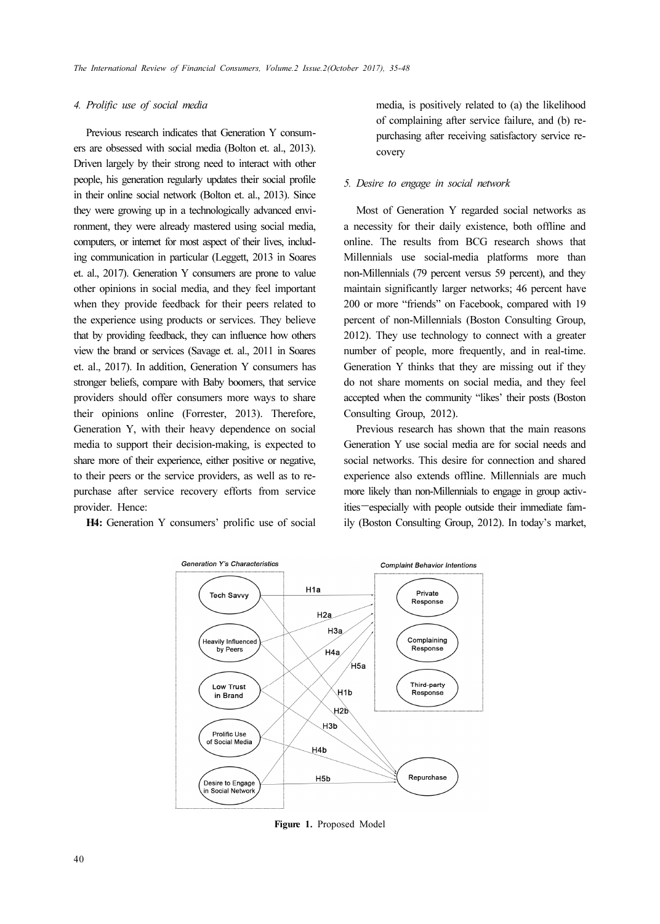### 4. Prolific use of social media

Previous research indicates that Generation Y consumers are obsessed with social media (Bolton et. al., 2013). Driven largely by their strong need to interact with other people, his generation regularly updates their social profile in their online social network (Bolton et. al., 2013). Since they were growing up in a technologically advanced environment, they were already mastered using social media, computers, or internet for most aspect of their lives, including communication in particular (Leggett, 2013 in Soares et. al., 2017). Generation Y consumers are prone to value other opinions in social media, and they feel important when they provide feedback for their peers related to the experience using products or services. They believe that by providing feedback, they can influence how others view the brand or services (Savage et. al., 2011 in Soares et. al., 2017). In addition, Generation Y consumers has stronger beliefs, compare with Baby boomers, that service providers should offer consumers more ways to share their opinions online (Forrester, 2013). Therefore, Generation Y, with their heavy dependence on social media to support their decision-making, is expected to share more of their experience, either positive or negative, to their peers or the service providers, as well as to repurchase after service recovery efforts from service provider. Hence:

H4: Generation Y consumers' prolific use of social

media, is positively related to (a) the likelihood of complaining after service failure, and (b) repurchasing after receiving satisfactory service recovery

#### 5. Desire to engage in social network

Most of Generation Y regarded social networks as a necessity for their daily existence, both offline and online. The results from BCG research shows that Millennials use social-media platforms more than non-Millennials (79 percent versus 59 percent), and they maintain significantly larger networks; 46 percent have 200 or more "friends" on Facebook, compared with 19 percent of non-Millennials (Boston Consulting Group, 2012). They use technology to connect with a greater number of people, more frequently, and in real-time. Generation Y thinks that they are missing out if they do not share moments on social media, and they feel accepted when the community "likes' their posts (Boston Consulting Group, 2012).

Previous research has shown that the main reasons Generation Y use social media are for social needs and social networks. This desire for connection and shared experience also extends offline. Millennials are much more likely than non-Millennials to engage in group activities—especially with people outside their immediate family (Boston Consulting Group, 2012). In today's market,



Figure 1. Proposed Model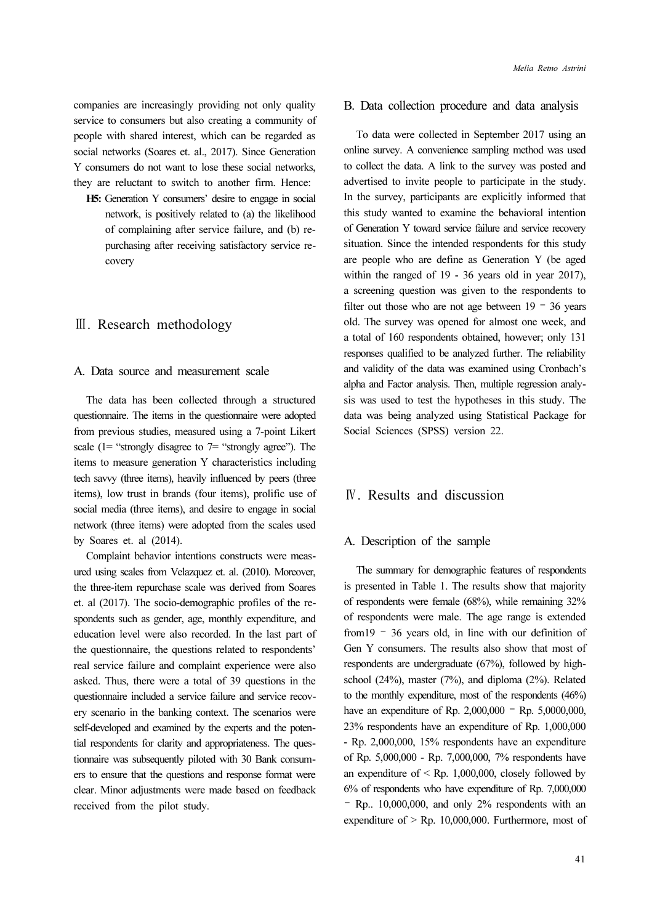companies are increasingly providing not only quality service to consumers but also creating a community of people with shared interest, which can be regarded as social networks (Soares et. al., 2017). Since Generation Y consumers do not want to lose these social networks, they are reluctant to switch to another firm. Hence:

H5: Generation Y consumers' desire to engage in social network, is positively related to (a) the likelihood of complaining after service failure, and (b) repurchasing after receiving satisfactory service recovery

# Ⅲ. Research methodology

#### A. Data source and measurement scale

The data has been collected through a structured questionnaire. The items in the questionnaire were adopted from previous studies, measured using a 7-point Likert scale  $(1=$  "strongly disagree to  $7=$  "strongly agree"). The items to measure generation Y characteristics including tech savvy (three items), heavily influenced by peers (three items), low trust in brands (four items), prolific use of social media (three items), and desire to engage in social network (three items) were adopted from the scales used by Soares et. al (2014).

Complaint behavior intentions constructs were measured using scales from Velazquez et. al. (2010). Moreover, the three-item repurchase scale was derived from Soares et. al (2017). The socio-demographic profiles of the respondents such as gender, age, monthly expenditure, and education level were also recorded. In the last part of the questionnaire, the questions related to respondents' real service failure and complaint experience were also asked. Thus, there were a total of 39 questions in the questionnaire included a service failure and service recovery scenario in the banking context. The scenarios were self-developed and examined by the experts and the potential respondents for clarity and appropriateness. The questionnaire was subsequently piloted with 30 Bank consumers to ensure that the questions and response format were clear. Minor adjustments were made based on feedback received from the pilot study.

#### B. Data collection procedure and data analysis

To data were collected in September 2017 using an online survey. A convenience sampling method was used to collect the data. A link to the survey was posted and advertised to invite people to participate in the study. In the survey, participants are explicitly informed that this study wanted to examine the behavioral intention of Generation Y toward service failure and service recovery situation. Since the intended respondents for this study are people who are define as Generation Y (be aged within the ranged of 19 - 36 years old in year 2017), a screening question was given to the respondents to filter out those who are not age between  $19 - 36$  years old. The survey was opened for almost one week, and a total of 160 respondents obtained, however; only 131 responses qualified to be analyzed further. The reliability and validity of the data was examined using Cronbach's alpha and Factor analysis. Then, multiple regression analysis was used to test the hypotheses in this study. The data was being analyzed using Statistical Package for Social Sciences (SPSS) version 22.

# Ⅳ. Results and discussion

#### A. Description of the sample

The summary for demographic features of respondents is presented in Table 1. The results show that majority of respondents were female (68%), while remaining 32% of respondents were male. The age range is extended from19 – 36 years old, in line with our definition of Gen Y consumers. The results also show that most of respondents are undergraduate (67%), followed by highschool (24%), master (7%), and diploma (2%). Related to the monthly expenditure, most of the respondents (46%) have an expenditure of Rp. 2,000,000 <sup>-</sup> Rp. 5,0000,000, 23% respondents have an expenditure of Rp. 1,000,000 - Rp. 2,000,000, 15% respondents have an expenditure of Rp. 5,000,000 - Rp. 7,000,000, 7% respondents have an expenditure of  $\leq$  Rp. 1,000,000, closely followed by 6% of respondents who have expenditure of Rp. 7,000,000 – Rp.. 10,000,000, and only 2% respondents with an expenditure of  $>$  Rp. 10,000,000. Furthermore, most of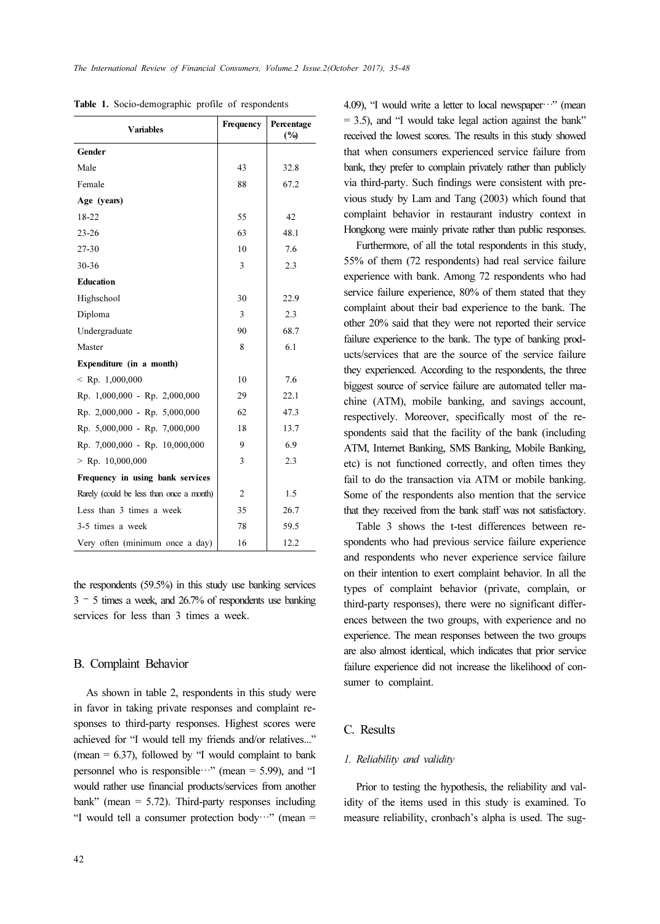| <b>Variables</b>                         | Frequency      | Percentage<br>(%) |
|------------------------------------------|----------------|-------------------|
| Gender                                   |                |                   |
| Male                                     | 43             | 32.8              |
| Female                                   | 88             | 67.2              |
| Age (years)                              |                |                   |
| 18-22                                    | 55             | 42                |
| $23 - 26$                                | 63             | 48.1              |
| 27-30                                    | 10             | 7.6               |
| $30 - 36$                                | 3              | 2.3               |
| Education                                |                |                   |
| Highschool                               | 30             | 22.9              |
| Diploma                                  | 3              | 2.3               |
| Undergraduate                            | 90             | 68.7              |
| Master                                   | 8              | 6.1               |
| Expenditure (in a month)                 |                |                   |
| $\le$ Rp. 1,000,000                      | 10             | 7.6               |
| Rp. 1,000,000 - Rp. 2,000,000            | 29             | 22.1              |
| Rp. 2,000,000 - Rp. 5,000,000            | 62             | 47.3              |
| Rp. 5,000,000 - Rp. 7,000,000            | 18             | 13.7              |
| Rp. 7,000,000 - Rp. 10,000,000           | 9              | 6.9               |
| $>$ Rp. 10,000,000                       | 3              | 2.3               |
| Frequency in using bank services         |                |                   |
| Rarely (could be less than once a month) | $\overline{2}$ | 1.5               |
| Less than 3 times a week                 | 35             | 26.7              |
| 3-5 times a week                         | 78             | 59.5              |
| Very often (minimum once a day)          | 16             | 12.2              |

Table 1. Socio-demographic profile of respondents

the respondents (59.5%) in this study use banking services  $3 - 5$  times a week, and 26.7% of respondents use banking services for less than 3 times a week.

#### B. Complaint Behavior

As shown in table 2, respondents in this study were in favor in taking private responses and complaint responses to third-party responses. Highest scores were achieved for "I would tell my friends and/or relatives..." (mean  $= 6.37$ ), followed by "I would complaint to bank personnel who is responsible…" (mean  $=$  5.99), and "I would rather use financial products/services from another bank" (mean  $= 5.72$ ). Third-party responses including "I would tell a consumer protection body…" (mean  $=$  4.09), "I would write a letter to local newspaper $\cdots$ " (mean  $= 3.5$ ), and "I would take legal action against the bank" received the lowest scores. The results in this study showed that when consumers experienced service failure from bank, they prefer to complain privately rather than publicly via third-party. Such findings were consistent with previous study by Lam and Tang (2003) which found that complaint behavior in restaurant industry context in Hongkong were mainly private rather than public responses.

Furthermore, of all the total respondents in this study, 55% of them (72 respondents) had real service failure experience with bank. Among 72 respondents who had service failure experience, 80% of them stated that they complaint about their bad experience to the bank. The other 20% said that they were not reported their service failure experience to the bank. The type of banking products/services that are the source of the service failure they experienced. According to the respondents, the three biggest source of service failure are automated teller machine (ATM), mobile banking, and savings account, respectively. Moreover, specifically most of the respondents said that the facility of the bank (including ATM, Internet Banking, SMS Banking, Mobile Banking, etc) is not functioned correctly, and often times they fail to do the transaction via ATM or mobile banking. Some of the respondents also mention that the service that they received from the bank staff was not satisfactory.

Table 3 shows the t-test differences between respondents who had previous service failure experience and respondents who never experience service failure on their intention to exert complaint behavior. In all the types of complaint behavior (private, complain, or third-party responses), there were no significant differences between the two groups, with experience and no experience. The mean responses between the two groups are also almost identical, which indicates that prior service failure experience did not increase the likelihood of consumer to complaint.

# C. Results

### 1. Reliability and validity

Prior to testing the hypothesis, the reliability and validity of the items used in this study is examined. To measure reliability, cronbach's alpha is used. The sug-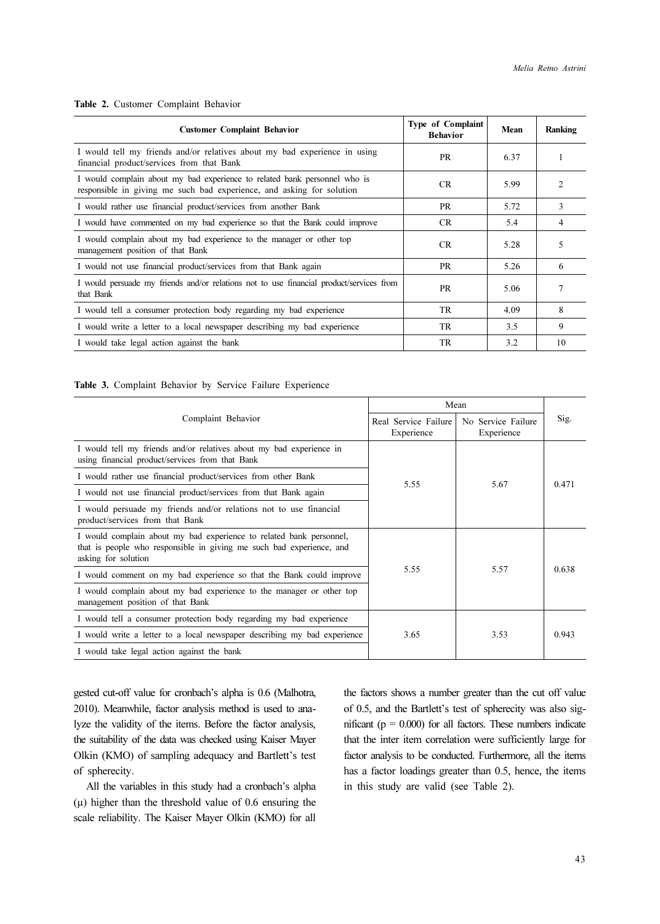#### Table 2. Customer Complaint Behavior

| <b>Customer Complaint Behavior</b>                                                                                                                 | Type of Complaint<br><b>Behavior</b> | Mean | Ranking        |
|----------------------------------------------------------------------------------------------------------------------------------------------------|--------------------------------------|------|----------------|
| I would tell my friends and/or relatives about my bad experience in using<br>financial product/services from that Bank                             | <b>PR</b>                            | 6.37 |                |
| I would complain about my bad experience to related bank personnel who is<br>responsible in giving me such bad experience, and asking for solution | CR.                                  | 5.99 | $\mathfrak{D}$ |
| I would rather use financial product/services from another Bank                                                                                    | <b>PR</b>                            | 5.72 | 3              |
| I would have commented on my bad experience so that the Bank could improve                                                                         | <b>CR</b>                            | 5.4  | 4              |
| I would complain about my bad experience to the manager or other top<br>management position of that Bank                                           | <b>CR</b>                            | 5.28 | 5              |
| I would not use financial product/services from that Bank again                                                                                    | <b>PR</b>                            | 5.26 | 6              |
| I would persuade my friends and/or relations not to use financial product/services from<br>that Bank                                               | <b>PR</b>                            | 5.06 |                |
| I would tell a consumer protection body regarding my bad experience                                                                                | TR.                                  | 4.09 | 8              |
| I would write a letter to a local newspaper describing my bad experience                                                                           | TR.                                  | 3.5  | 9              |
| I would take legal action against the bank                                                                                                         | TR.                                  | 3.2  | 10             |

#### Table 3. Complaint Behavior by Service Failure Experience

|                                                                                                                                                                    | Mean                                 |                                  |       |
|--------------------------------------------------------------------------------------------------------------------------------------------------------------------|--------------------------------------|----------------------------------|-------|
| Complaint Behavior                                                                                                                                                 | Real Service Failure  <br>Experience | No Service Failure<br>Experience | Sig.  |
| I would tell my friends and/or relatives about my bad experience in<br>using financial product/services from that Bank                                             |                                      |                                  |       |
| I would rather use financial product/services from other Bank                                                                                                      | 5.55                                 | 5.67                             | 0.471 |
| I would not use financial product/services from that Bank again                                                                                                    |                                      |                                  |       |
| I would persuade my friends and/or relations not to use financial<br>product/services from that Bank                                                               |                                      |                                  |       |
| I would complain about my bad experience to related bank personnel,<br>that is people who responsible in giving me such bad experience, and<br>asking for solution |                                      |                                  | 0.638 |
| I would comment on my bad experience so that the Bank could improve                                                                                                | 5.55                                 | 5.57                             |       |
| I would complain about my bad experience to the manager or other top<br>management position of that Bank                                                           |                                      |                                  |       |
| I would tell a consumer protection body regarding my bad experience                                                                                                |                                      |                                  |       |
| I would write a letter to a local newspaper describing my bad experience                                                                                           | 3.65                                 | 3.53                             | 0.943 |
| I would take legal action against the bank                                                                                                                         |                                      |                                  |       |

gested cut-off value for cronbach's alpha is 0.6 (Malhotra, 2010). Meanwhile, factor analysis method is used to analyze the validity of the items. Before the factor analysis, the suitability of the data was checked using Kaiser Mayer Olkin (KMO) of sampling adequacy and Bartlett's test of spherecity.

All the variables in this study had a cronbach's alpha  $(\mu)$  higher than the threshold value of 0.6 ensuring the scale reliability. The Kaiser Mayer Olkin (KMO) for all

the factors shows a number greater than the cut off value of 0.5, and the Bartlett's test of spherecity was also significant ( $p = 0.000$ ) for all factors. These numbers indicate that the inter item correlation were sufficiently large for factor analysis to be conducted. Furthermore, all the items has a factor loadings greater than 0.5, hence, the items in this study are valid (see Table 2).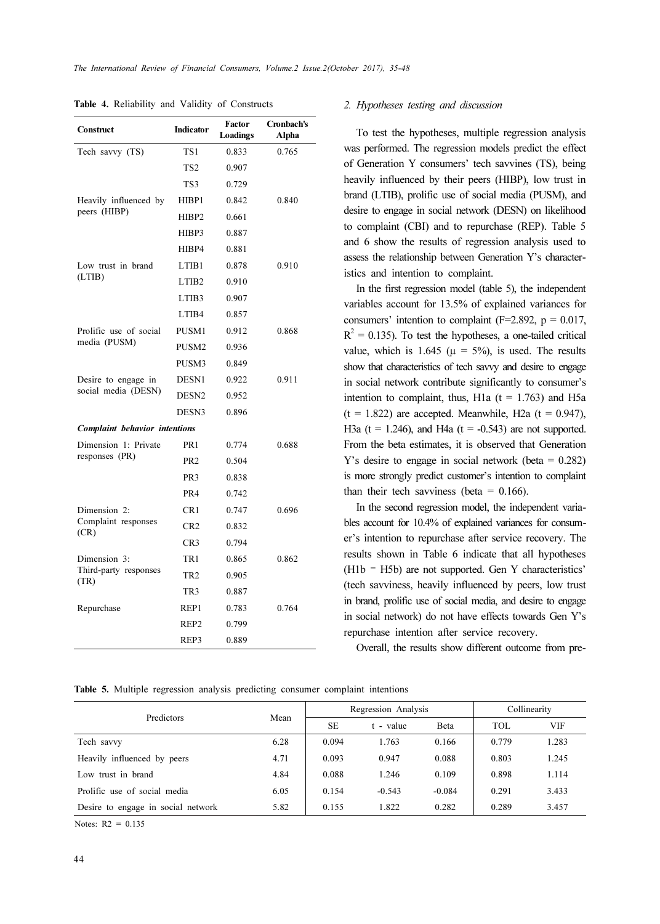| Construct                            | Factor<br>Indicator<br>Loadings |       | Cronbach's<br>Alpha |  |
|--------------------------------------|---------------------------------|-------|---------------------|--|
| Tech savvy (TS)                      | TS <sub>1</sub>                 | 0.833 | 0.765               |  |
|                                      | TS <sub>2</sub>                 | 0.907 |                     |  |
|                                      | TS3                             | 0.729 |                     |  |
| Heavily influenced by                | HIBP1                           | 0.842 | 0.840               |  |
| peers (HIBP)                         | HIBP2                           | 0.661 |                     |  |
|                                      | HIBP3                           | 0.887 |                     |  |
|                                      | HIBP4                           | 0.881 |                     |  |
| Low trust in brand                   | LTIB1                           | 0.878 | 0.910               |  |
| (LTIB)                               | LTIB <sub>2</sub>               | 0.910 |                     |  |
|                                      | LTIB <sub>3</sub>               | 0.907 |                     |  |
|                                      | LTIB4                           | 0.857 |                     |  |
| Prolific use of social               | PUSM1                           | 0.912 | 0.868               |  |
| media (PUSM)                         | PUSM2                           | 0.936 |                     |  |
|                                      | PUSM3                           | 0.849 |                     |  |
| Desire to engage in                  | DESN1                           | 0.922 | 0.911               |  |
| social media (DESN)                  | DESN <sub>2</sub>               | 0.952 |                     |  |
|                                      | DESN <sub>3</sub>               | 0.896 |                     |  |
| <b>Complaint behavior intentions</b> |                                 |       |                     |  |
| Dimension 1: Private                 | PR <sub>1</sub>                 | 0.774 | 0.688               |  |
| responses (PR)                       | PR <sub>2</sub>                 | 0.504 |                     |  |
|                                      | PR <sub>3</sub>                 | 0.838 |                     |  |
|                                      | PR4                             | 0.742 |                     |  |
| Dimension 2:                         | CR1                             | 0.747 | 0.696               |  |
| Complaint responses<br>(CR)          | CR <sub>2</sub>                 | 0.832 |                     |  |
|                                      | CR <sub>3</sub>                 | 0.794 |                     |  |
| Dimension 3:                         | TR1                             | 0.865 | 0.862               |  |
| Third-party responses<br>(TR)        | TR <sub>2</sub>                 | 0.905 |                     |  |
|                                      | TR <sub>3</sub>                 | 0.887 |                     |  |
| Repurchase                           | REP1                            | 0.783 | 0.764               |  |
|                                      | REP <sub>2</sub>                | 0.799 |                     |  |
|                                      | REP3                            | 0.889 |                     |  |

Table 4. Reliability and Validity of Constructs 2. Hypotheses testing and discussion

To test the hypotheses, multiple regression analysis was performed. The regression models predict the effect of Generation Y consumers' tech savvines (TS), being heavily influenced by their peers (HIBP), low trust in brand (LTIB), prolific use of social media (PUSM), and desire to engage in social network (DESN) on likelihood to complaint (CBI) and to repurchase (REP). Table 5 and 6 show the results of regression analysis used to assess the relationship between Generation Y's characteristics and intention to complaint.

In the first regression model (table 5), the independent variables account for 13.5% of explained variances for consumers' intention to complaint  $(F=2.892, p = 0.017,$  $R<sup>2</sup> = 0.135$ ). To test the hypotheses, a one-tailed critical value, which is 1.645 ( $\mu = 5\%$ ), is used. The results show that characteristics of tech savvy and desire to engage in social network contribute significantly to consumer's intention to complaint, thus, H1a ( $t = 1.763$ ) and H5a  $(t = 1.822)$  are accepted. Meanwhile, H2a  $(t = 0.947)$ , H3a ( $t = 1.246$ ), and H4a ( $t = -0.543$ ) are not supported. From the beta estimates, it is observed that Generation Y's desire to engage in social network (beta = 0.282) is more strongly predict customer's intention to complaint than their tech savviness (beta =  $0.166$ ).

In the second regression model, the independent variables account for 10.4% of explained variances for consumer's intention to repurchase after service recovery. The results shown in Table 6 indicate that all hypotheses (H1b – H5b) are not supported. Gen Y characteristics' (tech savviness, heavily influenced by peers, low trust in brand, prolific use of social media, and desire to engage in social network) do not have effects towards Gen Y's repurchase intention after service recovery.

Overall, the results show different outcome from pre-

Table 5. Multiple regression analysis predicting consumer complaint intentions

| Predictors                         | Mean | Regression Analysis |           |          | Collinearity |       |
|------------------------------------|------|---------------------|-----------|----------|--------------|-------|
|                                    |      | SE                  | t - value | Beta     | TOL.         | VIF   |
| Tech savvy                         | 6.28 | 0.094               | 1.763     | 0.166    | 0.779        | 1.283 |
| Heavily influenced by peers        | 4.71 | 0.093               | 0.947     | 0.088    | 0.803        | 1.245 |
| Low trust in brand                 | 4.84 | 0.088               | 1.246     | 0.109    | 0.898        | 1.114 |
| Prolific use of social media       | 6.05 | 0.154               | $-0.543$  | $-0.084$ | 0.291        | 3.433 |
| Desire to engage in social network | 5.82 | 0.155               | 1.822     | 0.282    | 0.289        | 3.457 |

Notes:  $R2 = 0.135$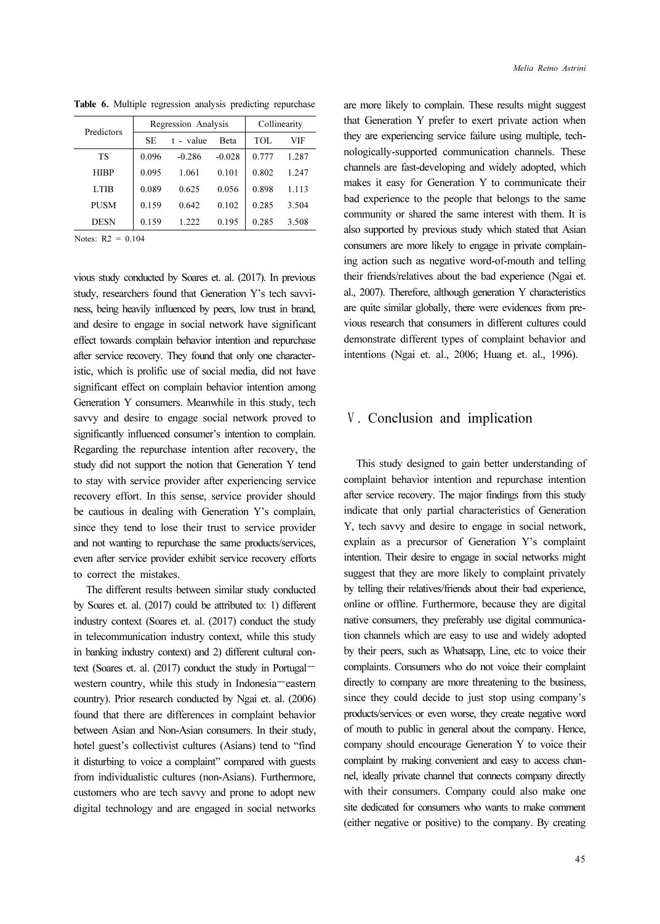| Predictors  | Regression Analysis |           | Collinearity |       |       |
|-------------|---------------------|-----------|--------------|-------|-------|
|             | SE.                 | t - value | <b>Beta</b>  | TOL.  | VIF   |
| TS          | 0.096               | $-0.286$  | $-0.028$     | 0.777 | 1.287 |
| <b>HIRP</b> | 0.095               | 1 061     | 0.101        | 0.802 | 1 247 |
| <b>LTIB</b> | 0.089               | 0.625     | 0.056        | 0.898 | 1.113 |
| <b>PUSM</b> | 0.159               | 0.642     | 0.102        | 0.285 | 3.504 |
| <b>DESN</b> | 0.159               | 1 777     | 0.195        | 0.285 | 3.508 |

Table 6. Multiple regression analysis predicting repurchase

Notes:  $R2 = 0.104$ 

vious study conducted by Soares et. al. (2017). In previous study, researchers found that Generation Y's tech savviness, being heavily influenced by peers, low trust in brand, and desire to engage in social network have significant effect towards complain behavior intention and repurchase after service recovery. They found that only one characteristic, which is prolific use of social media, did not have significant effect on complain behavior intention among Generation Y consumers. Meanwhile in this study, tech savvy and desire to engage social network proved to significantly influenced consumer's intention to complain. Regarding the repurchase intention after recovery, the study did not support the notion that Generation Y tend to stay with service provider after experiencing service recovery effort. In this sense, service provider should be cautious in dealing with Generation Y's complain, since they tend to lose their trust to service provider and not wanting to repurchase the same products/services, even after service provider exhibit service recovery efforts to correct the mistakes.

The different results between similar study conducted by Soares et. al. (2017) could be attributed to: 1) different industry context (Soares et. al. (2017) conduct the study in telecommunication industry context, while this study in banking industry context) and 2) different cultural context (Soares et. al. (2017) conduct the study in Portugal western country, while this study in Indonesia—eastern country). Prior research conducted by Ngai et. al. (2006) found that there are differences in complaint behavior between Asian and Non-Asian consumers. In their study, hotel guest's collectivist cultures (Asians) tend to "find it disturbing to voice a complaint" compared with guests from individualistic cultures (non-Asians). Furthermore, customers who are tech savvy and prone to adopt new digital technology and are engaged in social networks

are more likely to complain. These results might suggest that Generation Y prefer to exert private action when they are experiencing service failure using multiple, technologically-supported communication channels. These channels are fast-developing and widely adopted, which makes it easy for Generation Y to communicate their bad experience to the people that belongs to the same community or shared the same interest with them. It is also supported by previous study which stated that Asian consumers are more likely to engage in private complaining action such as negative word-of-mouth and telling their friends/relatives about the bad experience (Ngai et. al., 2007). Therefore, although generation Y characteristics are quite similar globally, there were evidences from previous research that consumers in different cultures could demonstrate different types of complaint behavior and intentions (Ngai et. al., 2006; Huang et. al., 1996).

### Ⅴ. Conclusion and implication

This study designed to gain better understanding of complaint behavior intention and repurchase intention after service recovery. The major findings from this study indicate that only partial characteristics of Generation Y, tech savvy and desire to engage in social network, explain as a precursor of Generation Y's complaint intention. Their desire to engage in social networks might suggest that they are more likely to complaint privately by telling their relatives/friends about their bad experience, online or offline. Furthermore, because they are digital native consumers, they preferably use digital communication channels which are easy to use and widely adopted by their peers, such as Whatsapp, Line, etc to voice their complaints. Consumers who do not voice their complaint directly to company are more threatening to the business, since they could decide to just stop using company's products/services or even worse, they create negative word of mouth to public in general about the company. Hence, company should encourage Generation Y to voice their complaint by making convenient and easy to access channel, ideally private channel that connects company directly with their consumers. Company could also make one site dedicated for consumers who wants to make comment (either negative or positive) to the company. By creating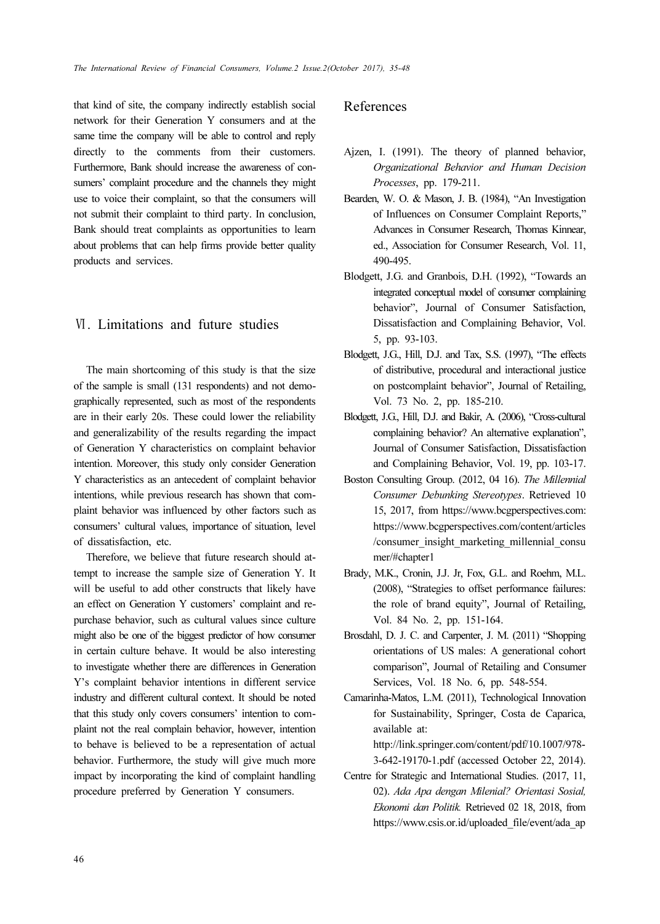that kind of site, the company indirectly establish social network for their Generation Y consumers and at the same time the company will be able to control and reply directly to the comments from their customers. Furthermore, Bank should increase the awareness of consumers' complaint procedure and the channels they might use to voice their complaint, so that the consumers will not submit their complaint to third party. In conclusion, Bank should treat complaints as opportunities to learn about problems that can help firms provide better quality products and services.

# Ⅵ. Limitations and future studies

The main shortcoming of this study is that the size of the sample is small (131 respondents) and not demographically represented, such as most of the respondents are in their early 20s. These could lower the reliability and generalizability of the results regarding the impact of Generation Y characteristics on complaint behavior intention. Moreover, this study only consider Generation Y characteristics as an antecedent of complaint behavior intentions, while previous research has shown that complaint behavior was influenced by other factors such as consumers' cultural values, importance of situation, level of dissatisfaction, etc.

Therefore, we believe that future research should attempt to increase the sample size of Generation Y. It will be useful to add other constructs that likely have an effect on Generation Y customers' complaint and repurchase behavior, such as cultural values since culture might also be one of the biggest predictor of how consumer in certain culture behave. It would be also interesting to investigate whether there are differences in Generation Y's complaint behavior intentions in different service industry and different cultural context. It should be noted that this study only covers consumers' intention to complaint not the real complain behavior, however, intention to behave is believed to be a representation of actual behavior. Furthermore, the study will give much more impact by incorporating the kind of complaint handling procedure preferred by Generation Y consumers.

# References

- Ajzen, I. (1991). The theory of planned behavior, Organizational Behavior and Human Decision Processes, pp. 179-211.
- Bearden, W. O. & Mason, J. B. (1984), "An Investigation of Influences on Consumer Complaint Reports," Advances in Consumer Research, Thomas Kinnear, ed., Association for Consumer Research, Vol. 11, 490-495.
- Blodgett, J.G. and Granbois, D.H. (1992), "Towards an integrated conceptual model of consumer complaining behavior", Journal of Consumer Satisfaction, Dissatisfaction and Complaining Behavior, Vol. 5, pp. 93-103.
- Blodgett, J.G., Hill, D.J. and Tax, S.S. (1997), "The effects of distributive, procedural and interactional justice on postcomplaint behavior", Journal of Retailing, Vol. 73 No. 2, pp. 185-210.
- Blodgett, J.G., Hill, D.J. and Bakir, A. (2006), "Cross-cultural complaining behavior? An alternative explanation", Journal of Consumer Satisfaction, Dissatisfaction and Complaining Behavior, Vol. 19, pp. 103-17.
- Boston Consulting Group. (2012, 04 16). The Millennial Consumer Debunking Stereotypes. Retrieved 10 15, 2017, from https://www.bcgperspectives.com: https://www.bcgperspectives.com/content/articles /consumer\_insight\_marketing\_millennial\_consu mer/#chapter1
- Brady, M.K., Cronin, J.J. Jr, Fox, G.L. and Roehm, M.L. (2008), "Strategies to offset performance failures: the role of brand equity", Journal of Retailing, Vol. 84 No. 2, pp. 151-164.
- Brosdahl, D. J. C. and Carpenter, J. M. (2011) "Shopping orientations of US males: A generational cohort comparison", Journal of Retailing and Consumer Services, Vol. 18 No. 6, pp. 548-554.

Camarinha-Matos, L.M. (2011), Technological Innovation for Sustainability, Springer, Costa de Caparica, available at: http://link.springer.com/content/pdf/10.1007/978-

3-642-19170-1.pdf (accessed October 22, 2014).

Centre for Strategic and International Studies. (2017, 11, 02). Ada Apa dengan Milenial? Orientasi Sosial, Ekonomi dan Politik. Retrieved 02 18, 2018, from https://www.csis.or.id/uploaded\_file/event/ada\_ap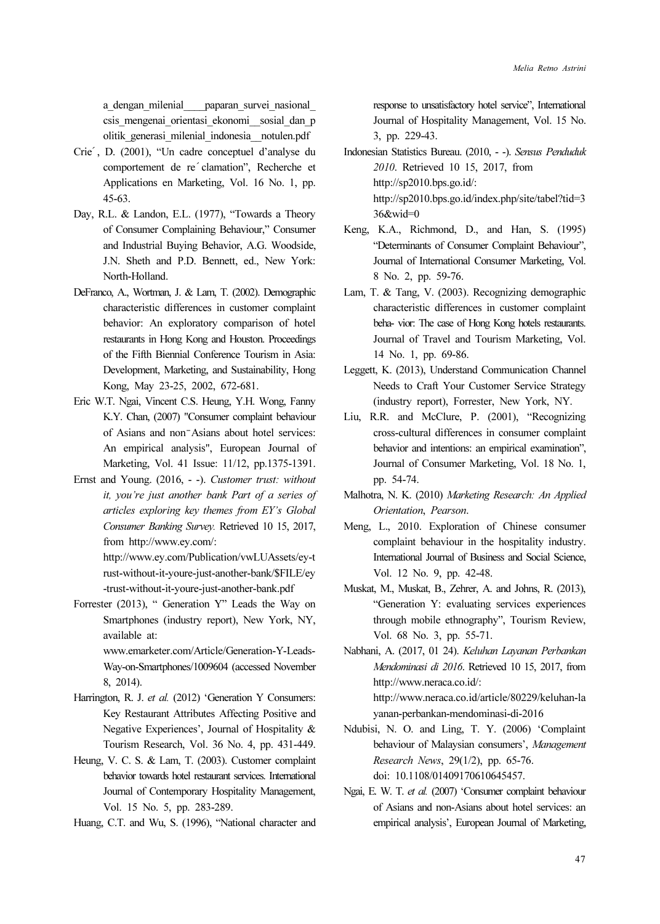a\_dengan\_milenial\_\_\_\_paparan\_survei\_nasional\_ csis\_mengenai\_orientasi\_ekonomi\_\_sosial\_dan\_p olitik\_generasi\_milenial\_indonesia\_\_notulen.pdf

- Crie ́, D. (2001), "Un cadre conceptuel d'analyse du comportement de re clamation", Recherche et Applications en Marketing, Vol. 16 No. 1, pp. 45-63.
- Day, R.L. & Landon, E.L. (1977), "Towards a Theory of Consumer Complaining Behaviour," Consumer and Industrial Buying Behavior, A.G. Woodside, J.N. Sheth and P.D. Bennett, ed., New York: North-Holland.
- DeFranco, A., Wortman, J. & Lam, T. (2002). Demographic characteristic differences in customer complaint behavior: An exploratory comparison of hotel restaurants in Hong Kong and Houston. Proceedings of the Fifth Biennial Conference Tourism in Asia: Development, Marketing, and Sustainability, Hong Kong, May 23-25, 2002, 672-681.
- Eric W.T. Ngai, Vincent C.S. Heung, Y.H. Wong, Fanny K.Y. Chan, (2007) "Consumer complaint behaviour of Asians and non<sup>-</sup>Asians about hotel services: An empirical analysis", European Journal of Marketing, Vol. 41 Issue: 11/12, pp.1375-1391.
- Ernst and Young. (2016, -). Customer trust: without it, you're just another bank Part of a series of articles exploring key themes from EY's Global Consumer Banking Survey. Retrieved 10 15, 2017, from http://www.ey.com/: http://www.ey.com/Publication/vwLUAssets/ey-t rust-without-it-youre-just-another-bank/\$FILE/ey
	- -trust-without-it-youre-just-another-bank.pdf
- Forrester (2013), " Generation Y" Leads the Way on Smartphones (industry report), New York, NY, available at: www.emarketer.com/Article/Generation-Y-Leads-

Way-on-Smartphones/1009604 (accessed November 8, 2014).

- Harrington, R. J. et al. (2012) 'Generation Y Consumers: Key Restaurant Attributes Affecting Positive and Negative Experiences', Journal of Hospitality & Tourism Research, Vol. 36 No. 4, pp. 431-449.
- Heung, V. C. S. & Lam, T. (2003). Customer complaint behavior towards hotel restaurant services. International Journal of Contemporary Hospitality Management, Vol. 15 No. 5, pp. 283-289.
- Huang, C.T. and Wu, S. (1996), "National character and

response to unsatisfactory hotel service", International Journal of Hospitality Management, Vol. 15 No. 3, pp. 229-43.

- Indonesian Statistics Bureau. (2010, -). Sensus Penduduk 2010. Retrieved 10 15, 2017, from http://sp2010.bps.go.id/: http://sp2010.bps.go.id/index.php/site/tabel?tid=3 36&wid=0
- Keng, K.A., Richmond, D., and Han, S. (1995) "Determinants of Consumer Complaint Behaviour", Journal of International Consumer Marketing, Vol. 8 No. 2, pp. 59-76.
- Lam, T. & Tang, V. (2003). Recognizing demographic characteristic differences in customer complaint beha- vior: The case of Hong Kong hotels restaurants. Journal of Travel and Tourism Marketing, Vol. 14 No. 1, pp. 69-86.
- Leggett, K. (2013), Understand Communication Channel Needs to Craft Your Customer Service Strategy (industry report), Forrester, New York, NY.
- Liu, R.R. and McClure, P. (2001), "Recognizing cross-cultural differences in consumer complaint behavior and intentions: an empirical examination", Journal of Consumer Marketing, Vol. 18 No. 1, pp. 54-74.
- Malhotra, N. K. (2010) Marketing Research: An Applied Orientation, Pearson.
- Meng, L., 2010. Exploration of Chinese consumer complaint behaviour in the hospitality industry. International Journal of Business and Social Science, Vol. 12 No. 9, pp. 42-48.
- Muskat, M., Muskat, B., Zehrer, A. and Johns, R. (2013), "Generation Y: evaluating services experiences through mobile ethnography", Tourism Review, Vol. 68 No. 3, pp. 55-71.
- Nabhani, A. (2017, 01 24). Keluhan Layanan Perbankan Mendominasi di 2016. Retrieved 10 15, 2017, from http://www.neraca.co.id/: http://www.neraca.co.id/article/80229/keluhan-la yanan-perbankan-mendominasi-di-2016
- Ndubisi, N. O. and Ling, T. Y. (2006) 'Complaint behaviour of Malaysian consumers', Management Research News, 29(1/2), pp. 65-76. doi: 10.1108/01409170610645457.
- Ngai, E. W. T. et al. (2007) 'Consumer complaint behaviour of Asians and non-Asians about hotel services: an empirical analysis', European Journal of Marketing,